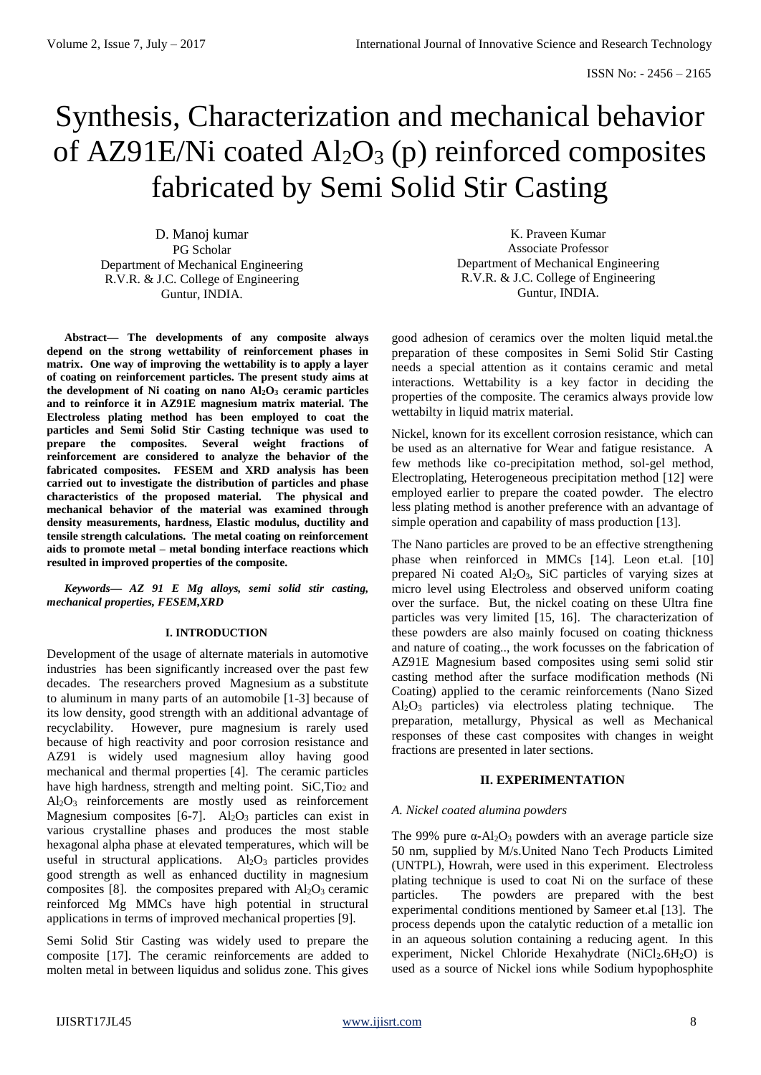# Synthesis, Characterization and mechanical behavior of AZ91E/Ni coated  $Al_2O_3$  (p) reinforced composites fabricated by Semi Solid Stir Casting

D. Manoj kumar PG Scholar Department of Mechanical Engineering R.V.R. & J.C. College of Engineering Guntur, INDIA.

**Abstract— The developments of any composite always depend on the strong wettability of reinforcement phases in matrix. One way of improving the wettability is to apply a layer of coating on reinforcement particles. The present study aims at the development of Ni coating on nano Al2O<sup>3</sup> ceramic particles and to reinforce it in AZ91E magnesium matrix material. The Electroless plating method has been employed to coat the particles and Semi Solid Stir Casting technique was used to prepare the composites. Several weight fractions of reinforcement are considered to analyze the behavior of the fabricated composites. FESEM and XRD analysis has been carried out to investigate the distribution of particles and phase characteristics of the proposed material. The physical and mechanical behavior of the material was examined through density measurements, hardness, Elastic modulus, ductility and tensile strength calculations. The metal coating on reinforcement aids to promote metal – metal bonding interface reactions which resulted in improved properties of the composite.** 

*Keywords— AZ 91 E Mg alloys, semi solid stir casting, mechanical properties, FESEM,XRD*

# **I. INTRODUCTION**

Development of the usage of alternate materials in automotive industries has been significantly increased over the past few decades. The researchers proved Magnesium as a substitute to aluminum in many parts of an automobile [1-3] because of its low density, good strength with an additional advantage of recyclability. However, pure magnesium is rarely used because of high reactivity and poor corrosion resistance and AZ91 is widely used magnesium alloy having good mechanical and thermal properties [4]. The ceramic particles have high hardness, strength and melting point. SiC,Tio<sub>2</sub> and Al2O<sup>3</sup> reinforcements are mostly used as reinforcement Magnesium composites  $[6-7]$ . Al<sub>2</sub>O<sub>3</sub> particles can exist in various crystalline phases and produces the most stable hexagonal alpha phase at elevated temperatures, which will be useful in structural applications.  $Al_2O_3$  particles provides good strength as well as enhanced ductility in magnesium composites [8]. the composites prepared with  $Al_2O_3$  ceramic reinforced Mg MMCs have high potential in structural applications in terms of improved mechanical properties [9].

Semi Solid Stir Casting was widely used to prepare the composite [17]. The ceramic reinforcements are added to molten metal in between liquidus and solidus zone. This gives

K. Praveen Kumar Associate Professor Department of Mechanical Engineering R.V.R. & J.C. College of Engineering Guntur, INDIA.

good adhesion of ceramics over the molten liquid metal.the preparation of these composites in Semi Solid Stir Casting needs a special attention as it contains ceramic and metal interactions. Wettability is a key factor in deciding the properties of the composite. The ceramics always provide low wettabilty in liquid matrix material.

Nickel, known for its excellent corrosion resistance, which can be used as an alternative for Wear and fatigue resistance. A few methods like co-precipitation method, sol-gel method, Electroplating, Heterogeneous precipitation method [12] were employed earlier to prepare the coated powder. The electro less plating method is another preference with an advantage of simple operation and capability of mass production [13].

The Nano particles are proved to be an effective strengthening phase when reinforced in MMCs [14]. Leon et.al. [10] prepared Ni coated Al2O3, SiC particles of varying sizes at micro level using Electroless and observed uniform coating over the surface. But, the nickel coating on these Ultra fine particles was very limited [15, 16]. The characterization of these powders are also mainly focused on coating thickness and nature of coating.., the work focusses on the fabrication of AZ91E Magnesium based composites using semi solid stir casting method after the surface modification methods (Ni Coating) applied to the ceramic reinforcements (Nano Sized  $Al_2O_3$  particles) via electroless plating technique. The preparation, metallurgy, Physical as well as Mechanical responses of these cast composites with changes in weight fractions are presented in later sections.

# **II. EXPERIMENTATION**

#### *A. Nickel coated alumina powders*

The 99% pure  $\alpha$ -Al<sub>2</sub>O<sub>3</sub> powders with an average particle size 50 nm, supplied by M/s.United Nano Tech Products Limited (UNTPL), Howrah, were used in this experiment. Electroless plating technique is used to coat Ni on the surface of these particles. The powders are prepared with the best experimental conditions mentioned by Sameer et.al [13]. The process depends upon the catalytic reduction of a metallic ion in an aqueous solution containing a reducing agent. In this experiment, Nickel Chloride Hexahydrate (NiCl<sub>2</sub>.6H<sub>2</sub>O) is used as a source of Nickel ions while Sodium hypophosphite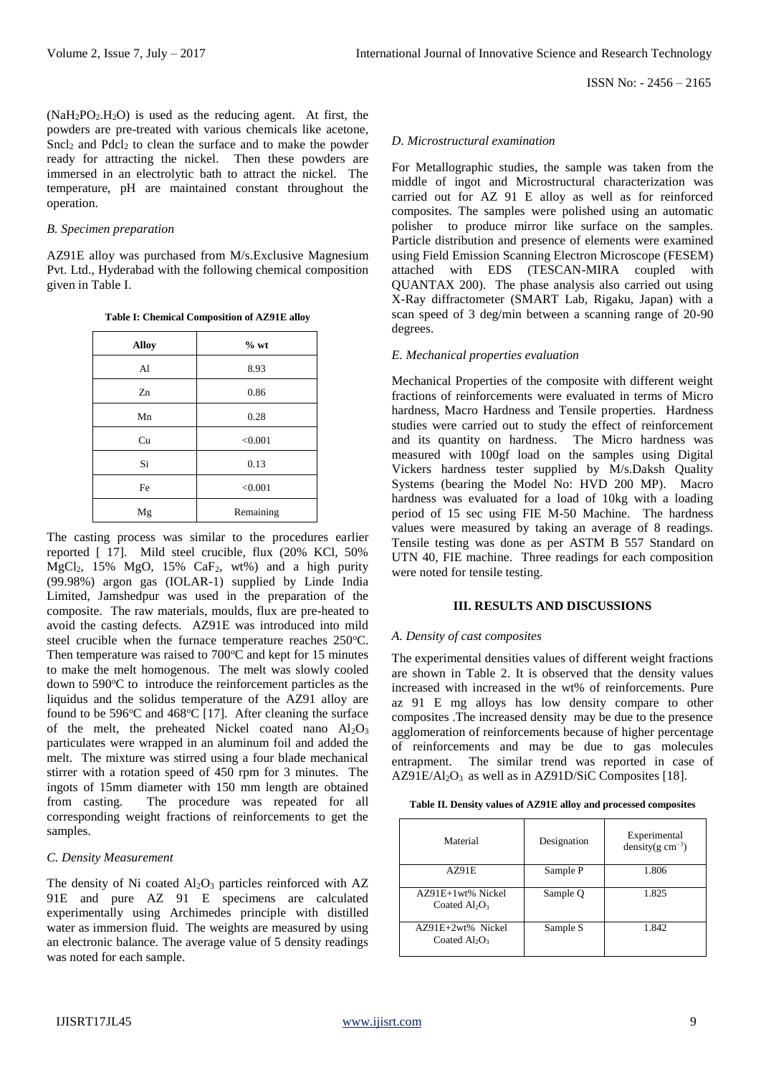$(NaH<sub>2</sub>PO<sub>2</sub>,H<sub>2</sub>O)$  is used as the reducing agent. At first, the powders are pre-treated with various chemicals like acetone,  $Sncl<sub>2</sub>$  and  $Pdcl<sub>2</sub>$  to clean the surface and to make the powder ready for attracting the nickel. Then these powders are immersed in an electrolytic bath to attract the nickel. The temperature, pH are maintained constant throughout the operation.

# *B. Specimen preparation*

AZ91E alloy was purchased from M/s.Exclusive Magnesium Pvt. Ltd., Hyderabad with the following chemical composition given in Table I.

**Table I: Chemical Composition of AZ91E alloy**

| <b>Alloy</b> | $%$ wt    |
|--------------|-----------|
| Al           | 8.93      |
| Zn           | 0.86      |
| Mn           | 0.28      |
| Cu           | < 0.001   |
| Si           | 0.13      |
| Fe           | < 0.001   |
| Mg           | Remaining |

The casting process was similar to the procedures earlier reported [ 17]. Mild steel crucible, flux (20% KCl, 50%  $MgCl<sub>2</sub>$ , 15%  $MgO$ , 15%  $CaF<sub>2</sub>$ , wt%) and a high purity (99.98%) argon gas (IOLAR-1) supplied by Linde India Limited, Jamshedpur was used in the preparation of the composite. The raw materials, moulds, flux are pre-heated to avoid the casting defects. AZ91E was introduced into mild steel crucible when the furnace temperature reaches  $250^{\circ}$ C. Then temperature was raised to  $700^{\circ}$ C and kept for 15 minutes to make the melt homogenous. The melt was slowly cooled down to  $590^{\circ}$ C to introduce the reinforcement particles as the liquidus and the solidus temperature of the AZ91 alloy are found to be  $596^{\circ}$ C and  $468^{\circ}$ C [17]. After cleaning the surface of the melt, the preheated Nickel coated nano  $Al_2O_3$ particulates were wrapped in an aluminum foil and added the melt. The mixture was stirred using a four blade mechanical stirrer with a rotation speed of 450 rpm for 3 minutes. The ingots of 15mm diameter with 150 mm length are obtained from casting. The procedure was repeated for all corresponding weight fractions of reinforcements to get the samples.

## *C. Density Measurement*

The density of Ni coated  $Al_2O_3$  particles reinforced with  $AZ$ 91E and pure AZ 91 E specimens are calculated experimentally using Archimedes principle with distilled water as immersion fluid. The weights are measured by using an electronic balance. The average value of 5 density readings was noted for each sample.

#### *D. Microstructural examination*

For Metallographic studies, the sample was taken from the middle of ingot and Microstructural characterization was carried out for AZ 91 E alloy as well as for reinforced composites. The samples were polished using an automatic polisher to produce mirror like surface on the samples. Particle distribution and presence of elements were examined using Field Emission Scanning Electron Microscope (FESEM) attached with EDS (TESCAN-MIRA coupled with QUANTAX 200). The phase analysis also carried out using X-Ray diffractometer (SMART Lab, Rigaku, Japan) with a scan speed of 3 deg/min between a scanning range of 20-90 degrees.

### *E. Mechanical properties evaluation*

Mechanical Properties of the composite with different weight fractions of reinforcements were evaluated in terms of Micro hardness, Macro Hardness and Tensile properties. Hardness studies were carried out to study the effect of reinforcement and its quantity on hardness. The Micro hardness was measured with 100gf load on the samples using Digital Vickers hardness tester supplied by M/s.Daksh Quality Systems (bearing the Model No: HVD 200 MP). Macro hardness was evaluated for a load of 10kg with a loading period of 15 sec using FIE M-50 Machine. The hardness values were measured by taking an average of 8 readings. Tensile testing was done as per ASTM B 557 Standard on UTN 40, FIE machine. Three readings for each composition were noted for tensile testing.

#### **III. RESULTS AND DISCUSSIONS**

#### *A. Density of cast composites*

The experimental densities values of different weight fractions are shown in Table 2. It is observed that the density values increased with increased in the wt% of reinforcements. Pure az 91 E mg alloys has low density compare to other composites .The increased density may be due to the presence agglomeration of reinforcements because of higher percentage of reinforcements and may be due to gas molecules entrapment. The similar trend was reported in case of  $AZ91E/Al<sub>2</sub>O<sub>3</sub>$  as well as in AZ91D/SiC Composites [18].

| Material                              | Designation | Experimental<br>density( $g \text{ cm}^{-3}$ ) |
|---------------------------------------|-------------|------------------------------------------------|
| AZ91E                                 | Sample P    | 1.806                                          |
| AZ91E+1wt% Nickel<br>Coated $Al_2O_3$ | Sample Q    | 1.825                                          |
| AZ91E+2wt% Nickel<br>Coated $Al_2O_3$ | Sample S    | 1.842                                          |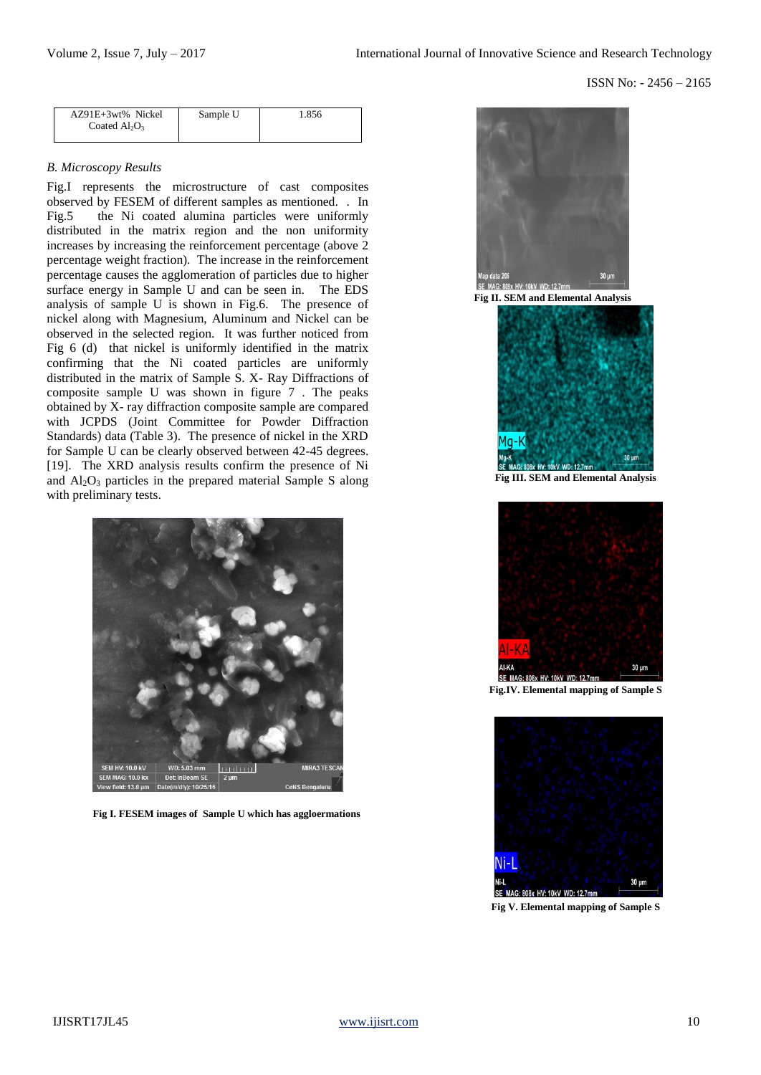| AZ91E+3wt% Nickel<br>Coated $Al_2O_3$ | Sample U | 1.856 |
|---------------------------------------|----------|-------|
|                                       |          |       |

# *B. Microscopy Results*

Fig.I represents the microstructure of cast composites observed by FESEM of different samples as mentioned. . In Fig.5 the Ni coated alumina particles were uniformly distributed in the matrix region and the non uniformity increases by increasing the reinforcement percentage (above 2 percentage weight fraction). The increase in the reinforcement percentage causes the agglomeration of particles due to higher surface energy in Sample U and can be seen in. The EDS analysis of sample U is shown in Fig.6. The presence of nickel along with Magnesium, Aluminum and Nickel can be observed in the selected region. It was further noticed from Fig 6 (d) that nickel is uniformly identified in the matrix confirming that the Ni coated particles are uniformly distributed in the matrix of Sample S. X- Ray Diffractions of composite sample U was shown in figure 7 . The peaks obtained by X- ray diffraction composite sample are compared with JCPDS (Joint Committee for Powder Diffraction Standards) data (Table 3). The presence of nickel in the XRD for Sample U can be clearly observed between 42-45 degrees. [19]. The XRD analysis results confirm the presence of Ni and  $Al_2O_3$  particles in the prepared material Sample S along with preliminary tests.



**Fig I. FESEM images of Sample U which has aggloermations**





**Fig III. SEM and Elemental Analysis**



**Fig.IV. Elemental mapping of Sample S**



**Fig V. Elemental mapping of Sample S**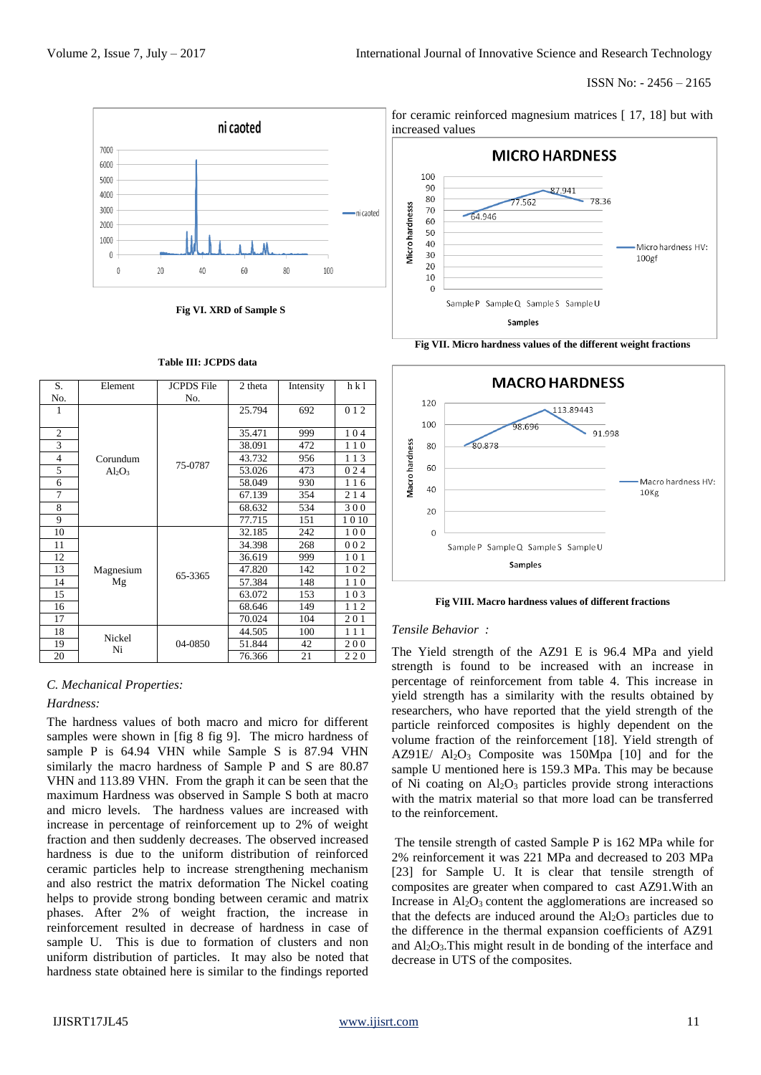

**Fig VI. XRD of Sample S**

| S.             | Element         | <b>JCPDS</b> File | 2 theta | Intensity | h k1 |
|----------------|-----------------|-------------------|---------|-----------|------|
| No.            |                 | No.               |         |           |      |
| 1              |                 |                   | 25.794  | 692       | 012  |
|                |                 |                   |         |           |      |
| $\overline{2}$ |                 | 75-0787           | 35.471  | 999       | 104  |
| 3              |                 |                   | 38.091  | 472       | 110  |
| $\overline{4}$ | Corundum        |                   | 43.732  | 956       | 113  |
| 5              | $Al_2O_3$       |                   | 53.026  | 473       | 024  |
| 6              |                 |                   | 58.049  | 930       | 116  |
| 7              |                 |                   | 67.139  | 354       | 214  |
| 8              |                 |                   | 68.632  | 534       | 300  |
| 9              |                 |                   | 77.715  | 151       | 1010 |
| 10             |                 |                   | 32.185  | 242       | 100  |
| 11             |                 |                   | 34.398  | 268       | 002  |
| 12             | Magnesium<br>Mg | 65-3365           | 36.619  | 999       | 101  |
| 13             |                 |                   | 47.820  | 142       | 102  |
| 14             |                 |                   | 57.384  | 148       | 110  |
| 15             |                 |                   | 63.072  | 153       | 103  |
| 16             |                 |                   | 68.646  | 149       | 112  |
| 17             |                 |                   | 70.024  | 104       | 201  |
| 18             |                 |                   | 44.505  | 100       | 111  |
| 19             | Nickel<br>Ni    | 04-0850           | 51.844  | 42        | 200  |
| 20             |                 |                   | 76.366  | 21        | 220  |

#### **Table III: JCPDS data**

#### *C. Mechanical Properties:*

#### *Hardness:*

The hardness values of both macro and micro for different samples were shown in [fig 8 fig 9]. The micro hardness of sample P is 64.94 VHN while Sample S is 87.94 VHN similarly the macro hardness of Sample P and S are 80.87 VHN and 113.89 VHN. From the graph it can be seen that the maximum Hardness was observed in Sample S both at macro and micro levels. The hardness values are increased with increase in percentage of reinforcement up to 2% of weight fraction and then suddenly decreases. The observed increased hardness is due to the uniform distribution of reinforced ceramic particles help to increase strengthening mechanism and also restrict the matrix deformation The Nickel coating helps to provide strong bonding between ceramic and matrix phases. After 2% of weight fraction, the increase in reinforcement resulted in decrease of hardness in case of sample U. This is due to formation of clusters and non uniform distribution of particles. It may also be noted that hardness state obtained here is similar to the findings reported



for ceramic reinforced magnesium matrices [ 17, 18] but with





**Fig VIII. Macro hardness values of different fractions**

#### *Tensile Behavior :*

The Yield strength of the AZ91 E is 96.4 MPa and yield strength is found to be increased with an increase in percentage of reinforcement from table 4. This increase in yield strength has a similarity with the results obtained by researchers, who have reported that the yield strength of the particle reinforced composites is highly dependent on the volume fraction of the reinforcement [18]. Yield strength of AZ91E/  $Al_2O_3$  Composite was 150Mpa [10] and for the sample U mentioned here is 159.3 MPa. This may be because of Ni coating on  $\text{Al}_2\text{O}_3$  particles provide strong interactions with the matrix material so that more load can be transferred to the reinforcement.

The tensile strength of casted Sample P is 162 MPa while for 2% reinforcement it was 221 MPa and decreased to 203 MPa [23] for Sample U. It is clear that tensile strength of composites are greater when compared to cast AZ91.With an Increase in  $Al_2O_3$  content the agglomerations are increased so that the defects are induced around the  $Al_2O_3$  particles due to the difference in the thermal expansion coefficients of AZ91 and  $Al_2O_3$ . This might result in de bonding of the interface and decrease in UTS of the composites.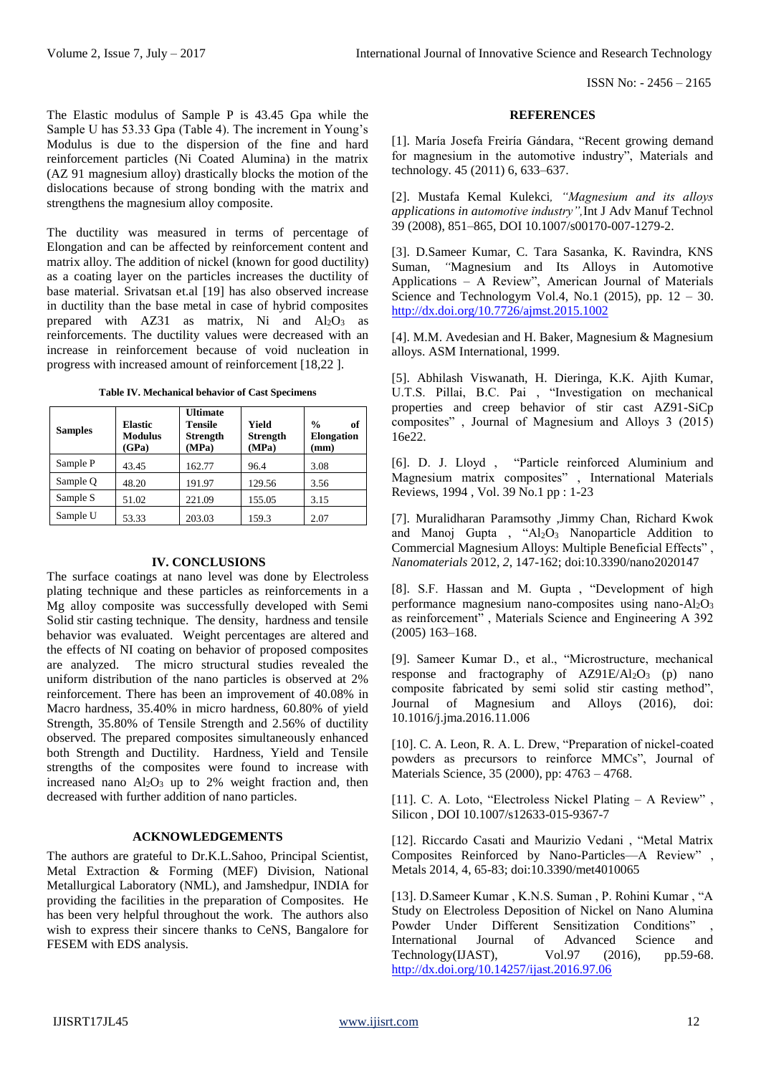ISSN No: - 2456 – 2165

The Elastic modulus of Sample P is 43.45 Gpa while the Sample U has 53.33 Gpa (Table 4). The increment in Young's Modulus is due to the dispersion of the fine and hard reinforcement particles (Ni Coated Alumina) in the matrix (AZ 91 magnesium alloy) drastically blocks the motion of the dislocations because of strong bonding with the matrix and strengthens the magnesium alloy composite.

The ductility was measured in terms of percentage of Elongation and can be affected by reinforcement content and matrix alloy. The addition of nickel (known for good ductility) as a coating layer on the particles increases the ductility of base material. Srivatsan et.al [19] has also observed increase in ductility than the base metal in case of hybrid composites prepared with  $AZ31$  as matrix, Ni and  $Al_2O_3$  as reinforcements. The ductility values were decreased with an increase in reinforcement because of void nucleation in progress with increased amount of reinforcement [18,22 ].

|  | <b>Table IV. Mechanical behavior of Cast Specimens</b> |  |  |
|--|--------------------------------------------------------|--|--|
|  |                                                        |  |  |

| <b>Samples</b> | <b>Elastic</b><br><b>Modulus</b><br>(GPa) | <b>Ultimate</b><br>Tensile<br><b>Strength</b><br>(MPa) | Yield<br><b>Strength</b><br>(MPa) | $\frac{0}{n}$<br>of<br><b>Elongation</b><br>(mm) |
|----------------|-------------------------------------------|--------------------------------------------------------|-----------------------------------|--------------------------------------------------|
| Sample P       | 43.45                                     | 162.77                                                 | 96.4                              | 3.08                                             |
| Sample O       | 48.20                                     | 191.97                                                 | 129.56                            | 3.56                                             |
| Sample S       | 51.02                                     | 221.09                                                 | 155.05                            | 3.15                                             |
| Sample U       | 53.33                                     | 203.03                                                 | 159.3                             | 2.07                                             |

#### **IV. CONCLUSIONS**

The surface coatings at nano level was done by Electroless plating technique and these particles as reinforcements in a Mg alloy composite was successfully developed with Semi Solid stir casting technique. The density, hardness and tensile behavior was evaluated. Weight percentages are altered and the effects of NI coating on behavior of proposed composites are analyzed. The micro structural studies revealed the uniform distribution of the nano particles is observed at 2% reinforcement. There has been an improvement of 40.08% in Macro hardness, 35.40% in micro hardness, 60.80% of yield Strength, 35.80% of Tensile Strength and 2.56% of ductility observed. The prepared composites simultaneously enhanced both Strength and Ductility. Hardness, Yield and Tensile strengths of the composites were found to increase with increased nano  $Al_2O_3$  up to 2% weight fraction and, then decreased with further addition of nano particles.

# **ACKNOWLEDGEMENTS**

The authors are grateful to Dr.K.L.Sahoo, Principal Scientist, Metal Extraction & Forming (MEF) Division, National Metallurgical Laboratory (NML), and Jamshedpur, INDIA for providing the facilities in the preparation of Composites. He has been very helpful throughout the work. The authors also wish to express their sincere thanks to CeNS, Bangalore for FESEM with EDS analysis.

#### **REFERENCES**

[1]. María Josefa Freiría Gándara, "Recent growing demand for magnesium in the automotive industry", Materials and technology. 45 (2011) 6, 633–637.

[2]. Mustafa Kemal Kulekci*, "Magnesium and its alloys applications in automotive industry",*Int J Adv Manuf Technol 39 (2008), 851–865, DOI 10.1007/s00170-007-1279-2.

[3]. D.Sameer Kumar, C. Tara Sasanka, K. Ravindra, KNS Suman, *"*Magnesium and Its Alloys in Automotive Applications – A Review", American Journal of Materials Science and Technologym Vol.4, No.1 (2015), pp.  $12 - 30$ . <http://dx.doi.org/10.7726/ajmst.2015.1002>

[4]. M.M. Avedesian and H. Baker, Magnesium & Magnesium alloys. ASM International, 1999.

[5]. Abhilash Viswanath, H. Dieringa, K.K. Ajith Kumar, U.T.S. Pillai, B.C. Pai , "Investigation on mechanical properties and creep behavior of stir cast AZ91-SiCp composites" , Journal of Magnesium and Alloys 3 (2015) 16e22.

[6]. D. J. Lloyd , "Particle reinforced Aluminium and Magnesium matrix composites" , International Materials Reviews, 1994 , Vol. 39 No.1 pp : 1-23

[7]. Muralidharan Paramsothy ,Jimmy Chan, Richard Kwok and Manoj Gupta , " $Al_2O_3$  Nanoparticle Addition to Commercial Magnesium Alloys: Multiple Beneficial Effects" , *Nanomaterials* 2012, *2*, 147-162; doi:10.3390/nano2020147

[8]. S.F. Hassan and M. Gupta , "Development of high performance magnesium nano-composites using nano- $Al<sub>2</sub>O<sub>3</sub>$ as reinforcement" , Materials Science and Engineering A 392 (2005) 163–168.

[9]. Sameer Kumar D., et al., "Microstructure, mechanical response and fractography of  $AZ91E/Al<sub>2</sub>O<sub>3</sub>$  (p) nano composite fabricated by semi solid stir casting method", Journal of Magnesium and Alloys (2016), doi: 10.1016/j.jma.2016.11.006

[10]. C. A. Leon, R. A. L. Drew, "Preparation of nickel-coated powders as precursors to reinforce MMCs", Journal of Materials Science, 35 (2000), pp: 4763 – 4768.

[11]. C. A. Loto, "Electroless Nickel Plating – A Review" , Silicon , DOI 10.1007/s12633-015-9367-7

[12]. Riccardo Casati and Maurizio Vedani , "Metal Matrix Composites Reinforced by Nano-Particles—A Review" , Metals 2014, 4, 65-83; doi:10.3390/met4010065

[13]. D.Sameer Kumar , K.N.S. Suman , P. Rohini Kumar , "A Study on Electroless Deposition of Nickel on Nano Alumina Powder Under Different Sensitization Conditions" International Journal of Advanced Science and Technology(IJAST), Vol.97 (2016), pp.59-68. <http://dx.doi.org/10.14257/ijast.2016.97.06>